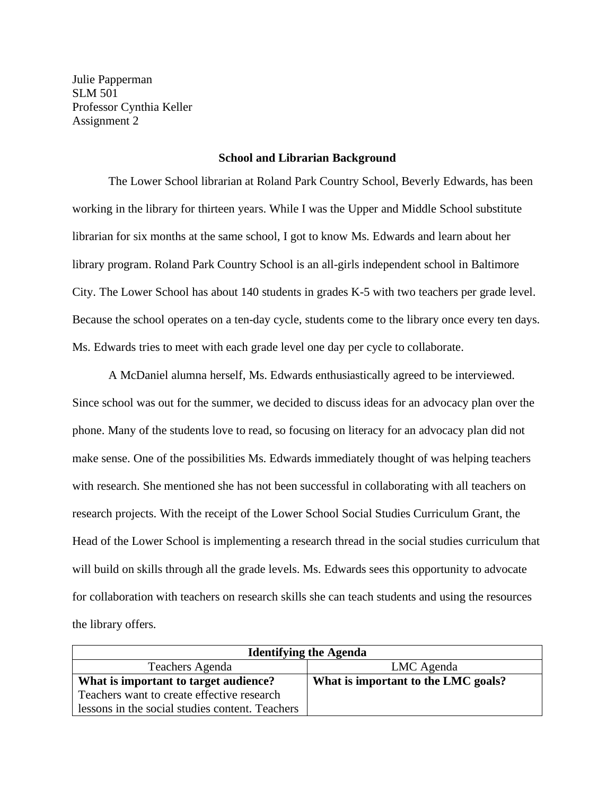Julie Papperman SLM 501 Professor Cynthia Keller Assignment 2

#### **School and Librarian Background**

The Lower School librarian at Roland Park Country School, Beverly Edwards, has been working in the library for thirteen years. While I was the Upper and Middle School substitute librarian for six months at the same school, I got to know Ms. Edwards and learn about her library program. Roland Park Country School is an all-girls independent school in Baltimore City. The Lower School has about 140 students in grades K-5 with two teachers per grade level. Because the school operates on a ten-day cycle, students come to the library once every ten days. Ms. Edwards tries to meet with each grade level one day per cycle to collaborate.

A McDaniel alumna herself, Ms. Edwards enthusiastically agreed to be interviewed. Since school was out for the summer, we decided to discuss ideas for an advocacy plan over the phone. Many of the students love to read, so focusing on literacy for an advocacy plan did not make sense. One of the possibilities Ms. Edwards immediately thought of was helping teachers with research. She mentioned she has not been successful in collaborating with all teachers on research projects. With the receipt of the Lower School Social Studies Curriculum Grant, the Head of the Lower School is implementing a research thread in the social studies curriculum that will build on skills through all the grade levels. Ms. Edwards sees this opportunity to advocate for collaboration with teachers on research skills she can teach students and using the resources the library offers.

| <b>Identifying the Agenda</b>                   |                                     |  |
|-------------------------------------------------|-------------------------------------|--|
| Teachers Agenda                                 | LMC Agenda                          |  |
| What is important to target audience?           | What is important to the LMC goals? |  |
| Teachers want to create effective research      |                                     |  |
| lessons in the social studies content. Teachers |                                     |  |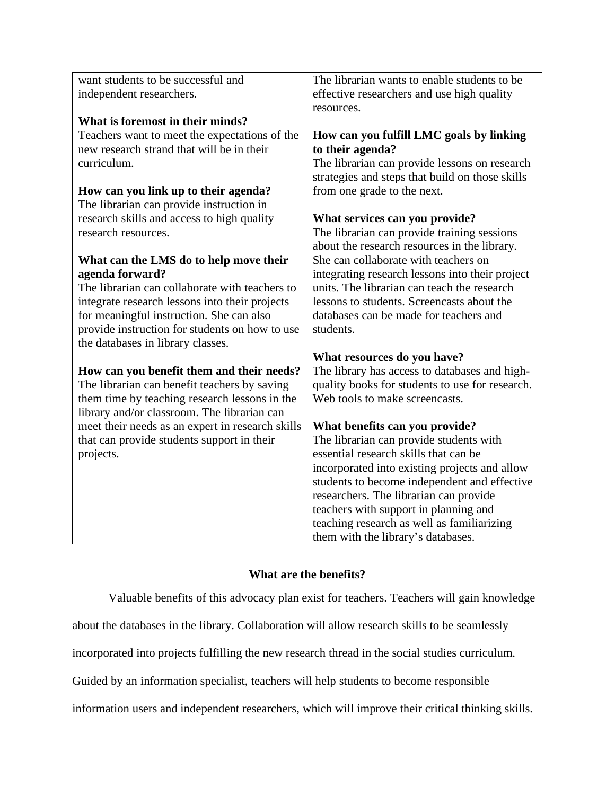| want students to be successful and               | The librarian wants to enable students to be    |  |
|--------------------------------------------------|-------------------------------------------------|--|
| independent researchers.                         | effective researchers and use high quality      |  |
|                                                  | resources.                                      |  |
| What is foremost in their minds?                 |                                                 |  |
| Teachers want to meet the expectations of the    | How can you fulfill LMC goals by linking        |  |
| new research strand that will be in their        | to their agenda?                                |  |
| curriculum.                                      | The librarian can provide lessons on research   |  |
|                                                  | strategies and steps that build on those skills |  |
| How can you link up to their agenda?             | from one grade to the next.                     |  |
| The librarian can provide instruction in         |                                                 |  |
| research skills and access to high quality       | What services can you provide?                  |  |
| research resources.                              | The librarian can provide training sessions     |  |
|                                                  | about the research resources in the library.    |  |
| What can the LMS do to help move their           | She can collaborate with teachers on            |  |
| agenda forward?                                  | integrating research lessons into their project |  |
| The librarian can collaborate with teachers to   | units. The librarian can teach the research     |  |
| integrate research lessons into their projects   | lessons to students. Screencasts about the      |  |
| for meaningful instruction. She can also         | databases can be made for teachers and          |  |
| provide instruction for students on how to use   | students.                                       |  |
| the databases in library classes.                |                                                 |  |
|                                                  | What resources do you have?                     |  |
| How can you benefit them and their needs?        | The library has access to databases and high-   |  |
| The librarian can benefit teachers by saving     | quality books for students to use for research. |  |
| them time by teaching research lessons in the    | Web tools to make screencasts.                  |  |
| library and/or classroom. The librarian can      |                                                 |  |
| meet their needs as an expert in research skills | What benefits can you provide?                  |  |
| that can provide students support in their       | The librarian can provide students with         |  |
| projects.                                        | essential research skills that can be           |  |
|                                                  | incorporated into existing projects and allow   |  |
|                                                  | students to become independent and effective    |  |
|                                                  | researchers. The librarian can provide          |  |
|                                                  | teachers with support in planning and           |  |
|                                                  | teaching research as well as familiarizing      |  |
|                                                  | them with the library's databases.              |  |

## **What are the benefits?**

Valuable benefits of this advocacy plan exist for teachers. Teachers will gain knowledge about the databases in the library. Collaboration will allow research skills to be seamlessly incorporated into projects fulfilling the new research thread in the social studies curriculum. Guided by an information specialist, teachers will help students to become responsible information users and independent researchers, which will improve their critical thinking skills.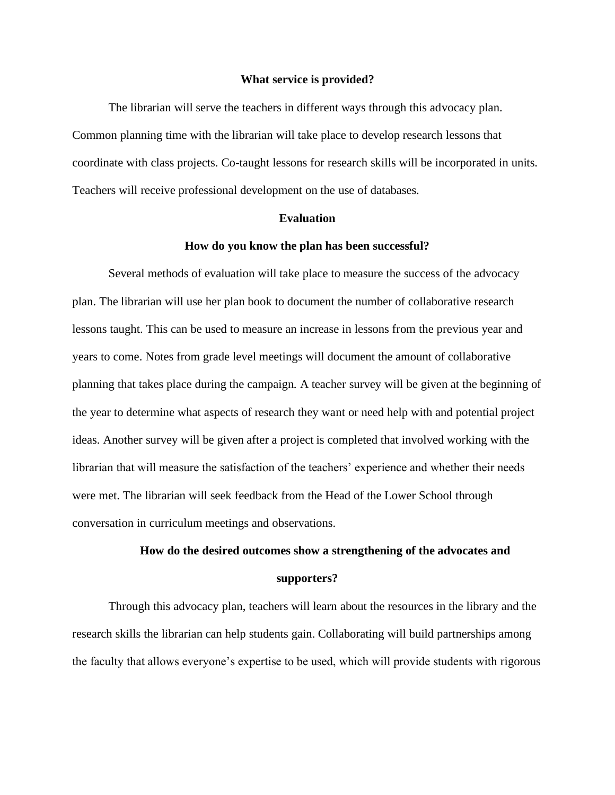#### **What service is provided?**

The librarian will serve the teachers in different ways through this advocacy plan. Common planning time with the librarian will take place to develop research lessons that coordinate with class projects. Co-taught lessons for research skills will be incorporated in units. Teachers will receive professional development on the use of databases.

#### **Evaluation**

#### **How do you know the plan has been successful?**

Several methods of evaluation will take place to measure the success of the advocacy plan. The librarian will use her plan book to document the number of collaborative research lessons taught. This can be used to measure an increase in lessons from the previous year and years to come. Notes from grade level meetings will document the amount of collaborative planning that takes place during the campaign. A teacher survey will be given at the beginning of the year to determine what aspects of research they want or need help with and potential project ideas. Another survey will be given after a project is completed that involved working with the librarian that will measure the satisfaction of the teachers' experience and whether their needs were met. The librarian will seek feedback from the Head of the Lower School through conversation in curriculum meetings and observations.

#### **How do the desired outcomes show a strengthening of the advocates and**

#### **supporters?**

Through this advocacy plan, teachers will learn about the resources in the library and the research skills the librarian can help students gain. Collaborating will build partnerships among the faculty that allows everyone's expertise to be used, which will provide students with rigorous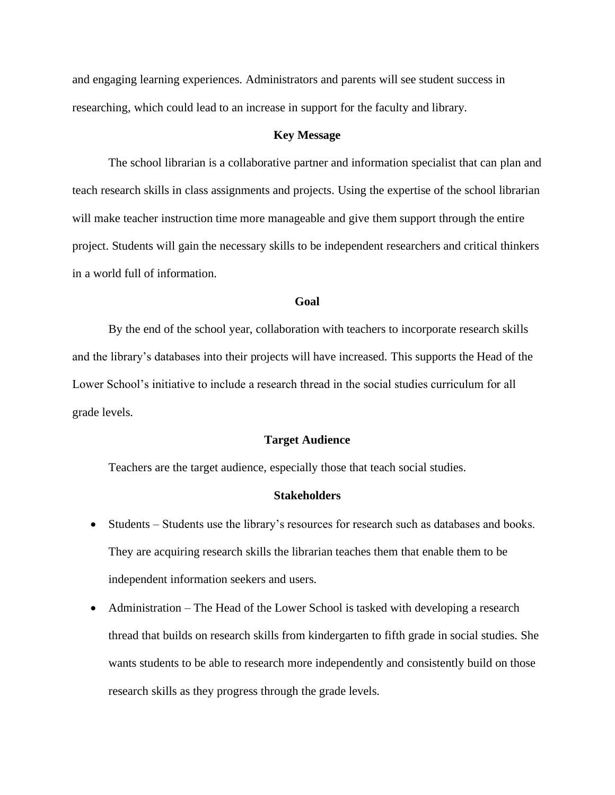and engaging learning experiences. Administrators and parents will see student success in researching, which could lead to an increase in support for the faculty and library.

#### **Key Message**

The school librarian is a collaborative partner and information specialist that can plan and teach research skills in class assignments and projects. Using the expertise of the school librarian will make teacher instruction time more manageable and give them support through the entire project. Students will gain the necessary skills to be independent researchers and critical thinkers in a world full of information.

#### **Goal**

By the end of the school year, collaboration with teachers to incorporate research skills and the library's databases into their projects will have increased. This supports the Head of the Lower School's initiative to include a research thread in the social studies curriculum for all grade levels.

#### **Target Audience**

Teachers are the target audience, especially those that teach social studies.

#### **Stakeholders**

- Students Students use the library's resources for research such as databases and books. They are acquiring research skills the librarian teaches them that enable them to be independent information seekers and users.
- Administration The Head of the Lower School is tasked with developing a research thread that builds on research skills from kindergarten to fifth grade in social studies. She wants students to be able to research more independently and consistently build on those research skills as they progress through the grade levels.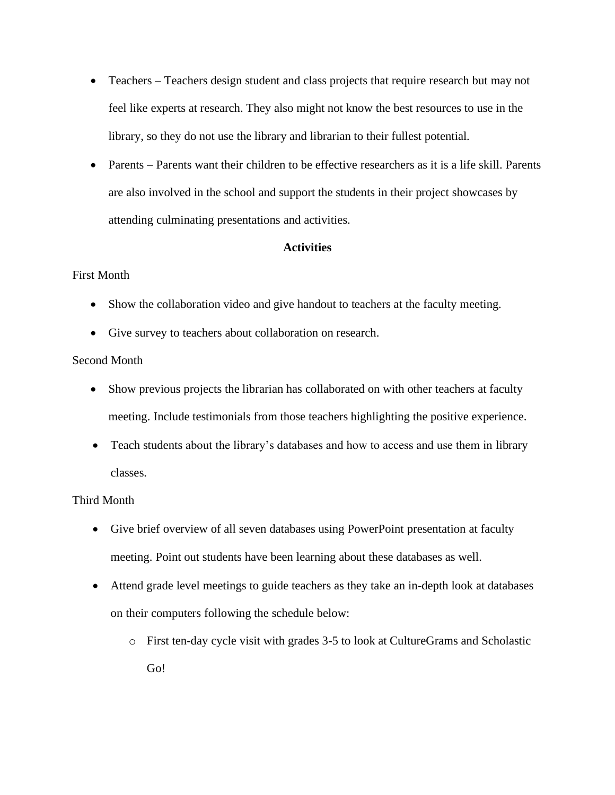- Teachers Teachers design student and class projects that require research but may not feel like experts at research. They also might not know the best resources to use in the library, so they do not use the library and librarian to their fullest potential.
- Parents Parents want their children to be effective researchers as it is a life skill. Parents are also involved in the school and support the students in their project showcases by attending culminating presentations and activities.

## **Activities**

## First Month

- Show the collaboration video and give handout to teachers at the faculty meeting.
- Give survey to teachers about collaboration on research.

## Second Month

- Show previous projects the librarian has collaborated on with other teachers at faculty meeting. Include testimonials from those teachers highlighting the positive experience.
- Teach students about the library's databases and how to access and use them in library classes.

## Third Month

- Give brief overview of all seven databases using PowerPoint presentation at faculty meeting. Point out students have been learning about these databases as well.
- Attend grade level meetings to guide teachers as they take an in-depth look at databases on their computers following the schedule below:
	- o First ten-day cycle visit with grades 3-5 to look at CultureGrams and Scholastic Go!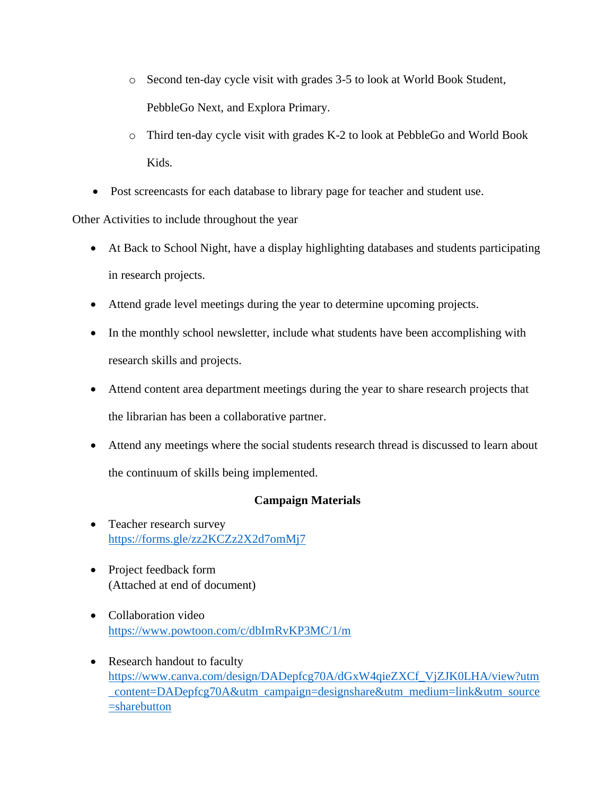- o Second ten-day cycle visit with grades 3-5 to look at World Book Student, PebbleGo Next, and Explora Primary.
- o Third ten-day cycle visit with grades K-2 to look at PebbleGo and World Book Kids.
- Post screencasts for each database to library page for teacher and student use.

Other Activities to include throughout the year

- At Back to School Night, have a display highlighting databases and students participating in research projects.
- Attend grade level meetings during the year to determine upcoming projects.
- In the monthly school newsletter, include what students have been accomplishing with research skills and projects.
- Attend content area department meetings during the year to share research projects that the librarian has been a collaborative partner.
- Attend any meetings where the social students research thread is discussed to learn about the continuum of skills being implemented.

## **Campaign Materials**

- Teacher research survey <https://forms.gle/zz2KCZz2X2d7omMj7>
- Project feedback form (Attached at end of document)
- Collaboration video <https://www.powtoon.com/c/dbImRvKP3MC/1/m>
- Research handout to faculty [https://www.canva.com/design/DADepfcg70A/dGxW4qieZXCf\\_VjZJK0LHA/view?utm](https://www.canva.com/design/DADepfcg70A/dGxW4qieZXCf_VjZJK0LHA/view?utm_content=DADepfcg70A&utm_campaign=designshare&utm_medium=link&utm_source=sharebutton) [\\_content=DADepfcg70A&utm\\_campaign=designshare&utm\\_medium=link&utm\\_source](https://www.canva.com/design/DADepfcg70A/dGxW4qieZXCf_VjZJK0LHA/view?utm_content=DADepfcg70A&utm_campaign=designshare&utm_medium=link&utm_source=sharebutton) [=sharebutton](https://www.canva.com/design/DADepfcg70A/dGxW4qieZXCf_VjZJK0LHA/view?utm_content=DADepfcg70A&utm_campaign=designshare&utm_medium=link&utm_source=sharebutton)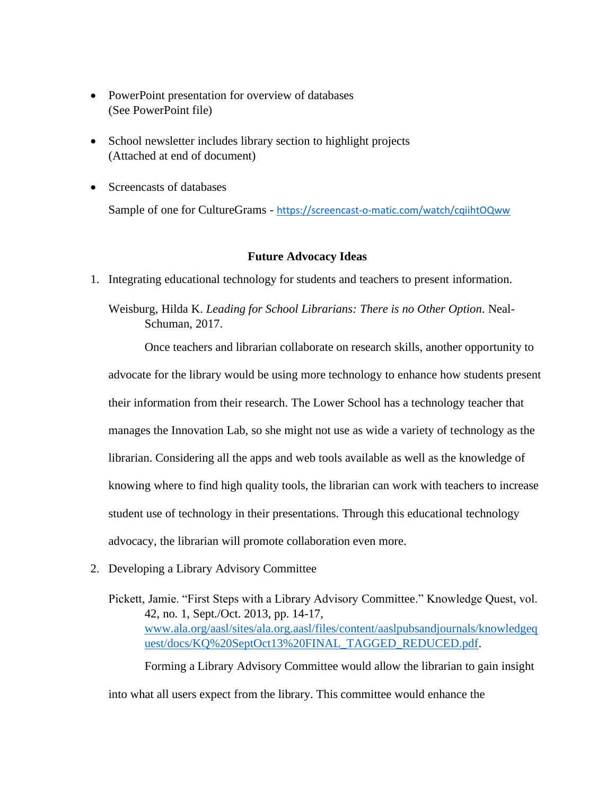- PowerPoint presentation for overview of databases (See PowerPoint file)
- School newsletter includes library section to highlight projects (Attached at end of document)
- Screencasts of databases

Sample of one for CultureGrams - <https://screencast-o-matic.com/watch/cqiihtOQww>

## **Future Advocacy Ideas**

1. Integrating educational technology for students and teachers to present information.

Weisburg, Hilda K. *Leading for School Librarians: There is no Other Option*. Neal-Schuman, 2017.

Once teachers and librarian collaborate on research skills, another opportunity to advocate for the library would be using more technology to enhance how students present their information from their research. The Lower School has a technology teacher that manages the Innovation Lab, so she might not use as wide a variety of technology as the librarian. Considering all the apps and web tools available as well as the knowledge of knowing where to find high quality tools, the librarian can work with teachers to increase student use of technology in their presentations. Through this educational technology advocacy, the librarian will promote collaboration even more.

2. Developing a Library Advisory Committee

Pickett, Jamie. "First Steps with a Library Advisory Committee." Knowledge Quest, vol. 42, no. 1, Sept./Oct. 2013, pp. 14-17, [www.ala.org/aasl/sites/ala.org.aasl/files/content/aaslpubsandjournals/knowledgeq](http://www.ala.org/aasl/sites/ala.org.aasl/files/content/aaslpubsandjournals/knowledgequest/docs/KQ%20SeptOct13%20FINAL_TAGGED_REDUCED.pdf) [uest/docs/KQ%20SeptOct13%20FINAL\\_TAGGED\\_REDUCED.pdf.](http://www.ala.org/aasl/sites/ala.org.aasl/files/content/aaslpubsandjournals/knowledgequest/docs/KQ%20SeptOct13%20FINAL_TAGGED_REDUCED.pdf)

Forming a Library Advisory Committee would allow the librarian to gain insight

into what all users expect from the library. This committee would enhance the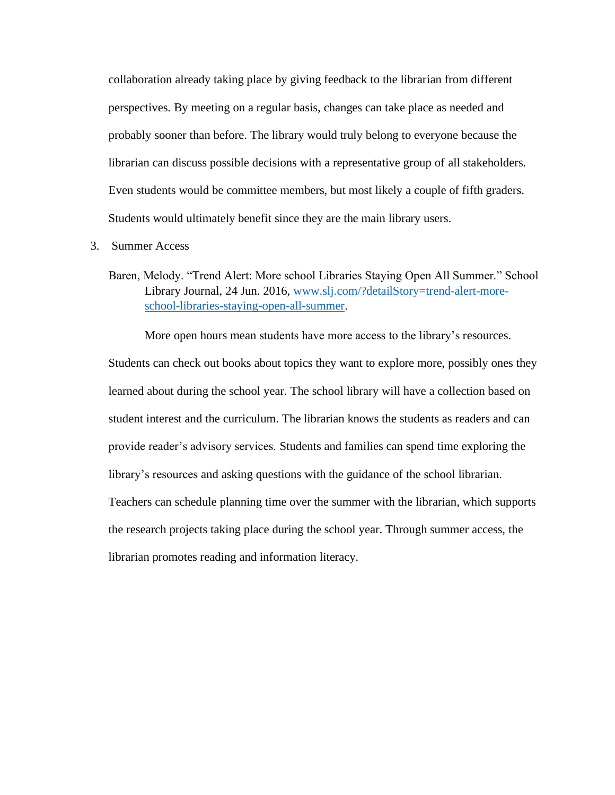collaboration already taking place by giving feedback to the librarian from different perspectives. By meeting on a regular basis, changes can take place as needed and probably sooner than before. The library would truly belong to everyone because the librarian can discuss possible decisions with a representative group of all stakeholders. Even students would be committee members, but most likely a couple of fifth graders. Students would ultimately benefit since they are the main library users.

- 3. Summer Access
	- Baren, Melody. "Trend Alert: More school Libraries Staying Open All Summer." School Library Journal, 24 Jun. 2016, [www.slj.com/?detailStory=trend-alert-more](http://www.slj.com/?detailStory=trend-alert-more-school-libraries-staying-open-all-summer)[school-libraries-staying-open-all-summer.](http://www.slj.com/?detailStory=trend-alert-more-school-libraries-staying-open-all-summer)

More open hours mean students have more access to the library's resources. Students can check out books about topics they want to explore more, possibly ones they learned about during the school year. The school library will have a collection based on student interest and the curriculum. The librarian knows the students as readers and can provide reader's advisory services. Students and families can spend time exploring the library's resources and asking questions with the guidance of the school librarian. Teachers can schedule planning time over the summer with the librarian, which supports the research projects taking place during the school year. Through summer access, the librarian promotes reading and information literacy.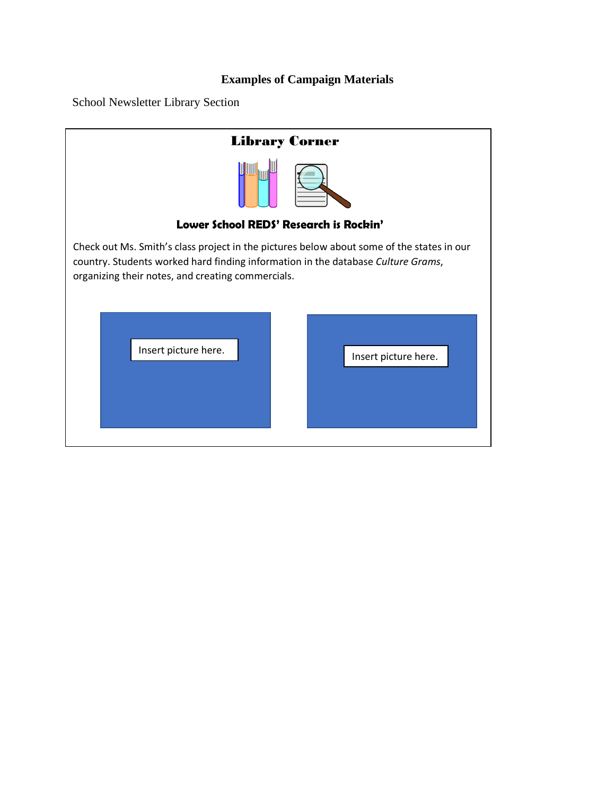## **Examples of Campaign Materials**

School Newsletter Library Section

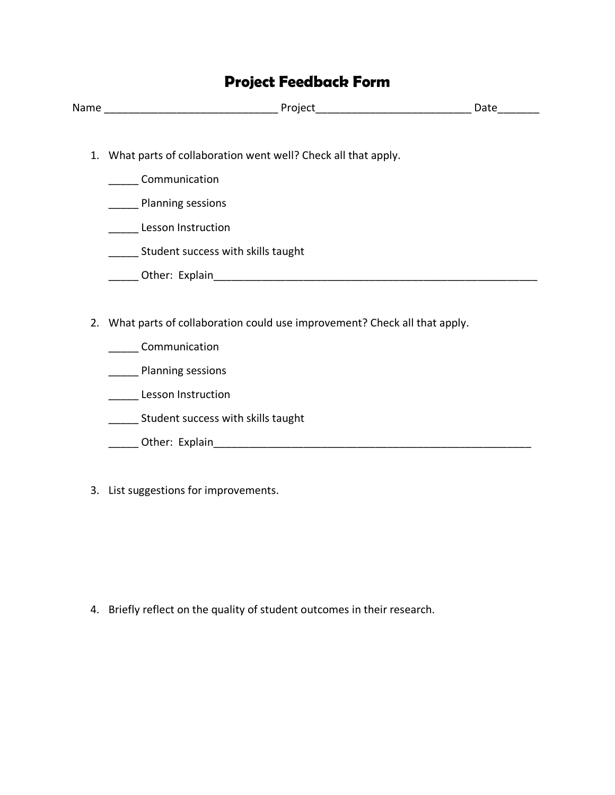# **Project Feedback Form**

| Name | $\sim$ $\sim$ $\sim$ $\sim$<br>۱۱۵ تا | 74 I H |
|------|---------------------------------------|--------|
| ___  |                                       | È      |

- 1. What parts of collaboration went well? Check all that apply.
	- \_\_\_\_\_ Communication
	- \_\_\_\_\_ Planning sessions
	- **\_\_\_\_\_\_** Lesson Instruction
	- \_\_\_\_\_ Student success with skills taught
	- \_\_\_\_\_ Other: Explain\_\_\_\_\_\_\_\_\_\_\_\_\_\_\_\_\_\_\_\_\_\_\_\_\_\_\_\_\_\_\_\_\_\_\_\_\_\_\_\_\_\_\_\_\_\_\_\_\_\_\_\_\_\_
- 2. What parts of collaboration could use improvement? Check all that apply.
	- \_\_\_\_\_ Communication
	- \_\_\_\_\_ Planning sessions
	- **\_\_\_\_\_\_** Lesson Instruction
	- \_\_\_\_\_ Student success with skills taught
	- Other: Explain
- 3. List suggestions for improvements.

4. Briefly reflect on the quality of student outcomes in their research.